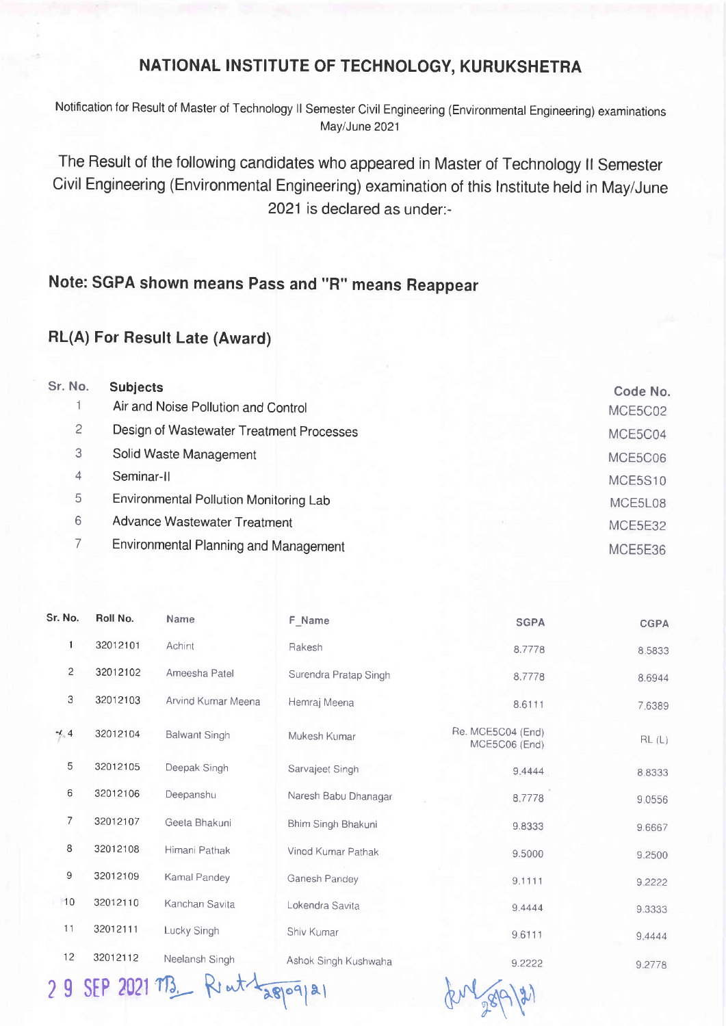## NATIONAL INSTITUTE OF TECHNOLOGY, KURUKSHETRA

Notification for Result of Master of Technology ll Semester Civil Engineering (Environmental Engineering) examinations May/June 2021

The Result of the following candidates who appeared in Master of Technology ll Semester Civil Engineering (Environmental Engineering) examination of this lnstitute held in May/June 2021 is declared as under:-

## Note: SGPA shown means Pass and "R" means Reappear

## RL(A) For Result Late (Award)

| Sr. No. | <b>Subjects</b>                               | Code No.       |
|---------|-----------------------------------------------|----------------|
|         | Air and Noise Pollution and Control           | MCE5C02        |
| 2       | Design of Wastewater Treatment Processes      | MCE5C04        |
| 3       | Solid Waste Management                        | MCE5C06        |
| 4       | Seminar-II                                    | <b>MCE5S10</b> |
| 5       | <b>Environmental Pollution Monitoring Lab</b> | MCE5L08        |
| 6       | Advance Wastewater Treatment                  | MCE5E32        |
|         | Environmental Planning and Management         | MCE5E36        |

| Sr. No.        | Roll No. | Name               | F Name                | <b>SGPA</b>                        | <b>CGPA</b> |
|----------------|----------|--------------------|-----------------------|------------------------------------|-------------|
| 1              | 32012101 | Achint             | Rakesh                | 8.7778                             | 8,5833      |
| $\overline{2}$ | 32012102 | Ameesha Patel      | Surendra Pratap Singh | 8.7778                             | 8.6944      |
| 3              | 32012103 | Arvind Kumar Meena | Hemraj Meena          | 8.6111                             | 7.6389      |
| $-4.4$         | 32012104 | Balwant Singh      | Mukesh Kumar          | Re. MCE5C04 (End)<br>MCE5C06 (End) | RL(L)       |
| 5              | 32012105 | Deepak Singh       | Sarvajeet Singh       | 9.4444                             | 8.8333      |
| 6              | 32012106 | Deepanshu          | Naresh Babu Dhanagar  | 8.7778                             | 9,0556      |
| $\overline{7}$ | 32012107 | Geeta Bhakuni      | Bhim Singh Bhakuni    | 9.8333                             | 9.6667      |
| 8              | 32012108 | Himani Pathak      | Vinod Kumar Pathak    | 9.5000                             | 9.2500      |
| $\mathsf 9$    | 32012109 | Kamal Pandey       | Ganesh Pandey         | 9.1111                             | 9.2222      |
| 10             | 32012110 | Kanchan Savita     | Lokendra Savita       | 9.4444                             | 9.3333      |
| 11             | 32012111 | Lucky Singh        | Shiv Kumar            | 9.6111                             | 9.4444      |
| 12             | 32012112 | Neelansh Singh     | Ashok Singh Kushwaha  | 9.2222                             | 9.2778      |

29 SEP 2021 M3 Rent Lappoqual du for 28/9/21